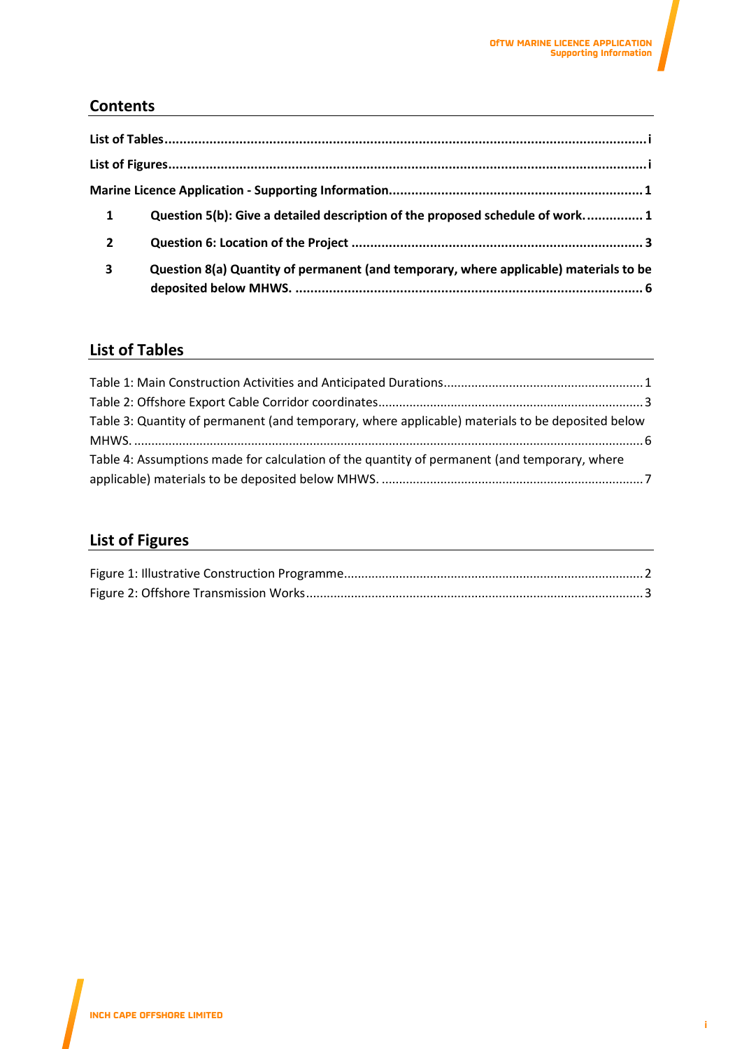## **Contents**

| $\mathbf{1}$   | Question 5(b): Give a detailed description of the proposed schedule of work 1         |
|----------------|---------------------------------------------------------------------------------------|
| $\overline{2}$ |                                                                                       |
| 3              | Question 8(a) Quantity of permanent (and temporary, where applicable) materials to be |

## <span id="page-0-0"></span>**List of Tables**

| Table 3: Quantity of permanent (and temporary, where applicable) materials to be deposited below |  |
|--------------------------------------------------------------------------------------------------|--|
|                                                                                                  |  |
| Table 4: Assumptions made for calculation of the quantity of permanent (and temporary, where     |  |
|                                                                                                  |  |

# <span id="page-0-1"></span>**List of Figures**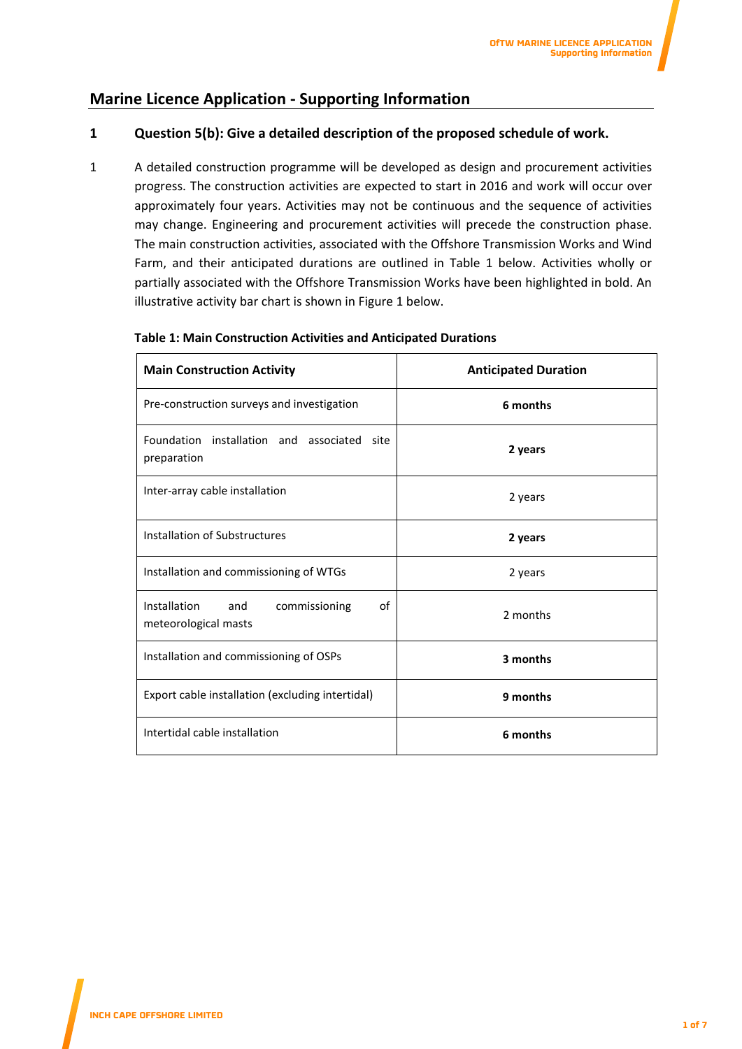## <span id="page-1-0"></span>**Marine Licence Application - Supporting Information**

## <span id="page-1-1"></span>**1 Question 5(b): Give a detailed description of the proposed schedule of work.**

1 A detailed construction programme will be developed as design and procurement activities progress. The construction activities are expected to start in 2016 and work will occur over approximately four years. Activities may not be continuous and the sequence of activities may change. Engineering and procurement activities will precede the construction phase. The main construction activities, associated with the Offshore Transmission Works and Wind Farm, and their anticipated durations are outlined in Table 1 below. Activities wholly or partially associated with the Offshore Transmission Works have been highlighted in bold. An illustrative activity bar chart is shown in Figure 1 below.

| <b>Main Construction Activity</b>                                  | <b>Anticipated Duration</b> |  |
|--------------------------------------------------------------------|-----------------------------|--|
| Pre-construction surveys and investigation                         | 6 months                    |  |
| Foundation installation and associated site<br>preparation         | 2 years                     |  |
| Inter-array cable installation                                     | 2 years                     |  |
| Installation of Substructures                                      | 2 years                     |  |
| Installation and commissioning of WTGs                             | 2 years                     |  |
| Installation<br>οf<br>and<br>commissioning<br>meteorological masts | 2 months                    |  |
| Installation and commissioning of OSPs                             | 3 months                    |  |
| Export cable installation (excluding intertidal)                   | 9 months                    |  |
| Intertidal cable installation                                      | 6 months                    |  |

### <span id="page-1-2"></span>**Table 1: Main Construction Activities and Anticipated Durations**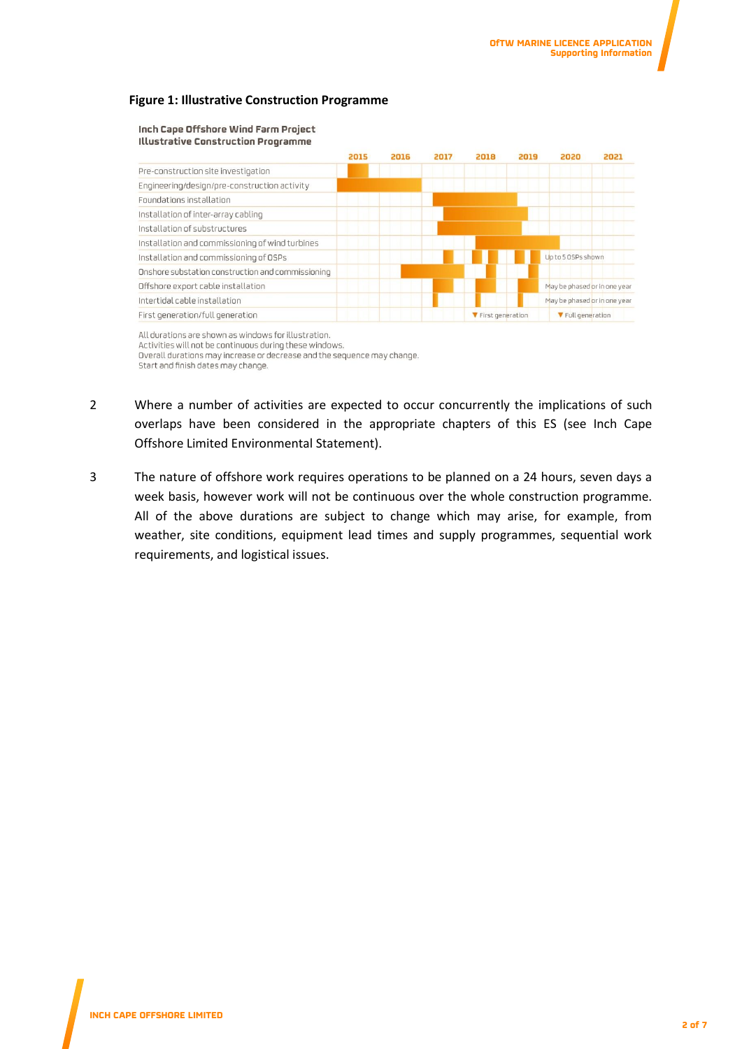### <span id="page-2-0"></span>**Figure 1: Illustrative Construction Programme**

#### Inch Cape Offshore Wind Farm Project **Illustrative Construction Programme**



All durations are shown as windows for illustration. Activities will not be continuous during these windows. Overall durations may increase or decrease and the sequence may change. Start and finish dates may change.

- 2 Where a number of activities are expected to occur concurrently the implications of such overlaps have been considered in the appropriate chapters of this ES (see Inch Cape Offshore Limited Environmental Statement).
- 3 The nature of offshore work requires operations to be planned on a 24 hours, seven days a week basis, however work will not be continuous over the whole construction programme. All of the above durations are subject to change which may arise, for example, from weather, site conditions, equipment lead times and supply programmes, sequential work requirements, and logistical issues.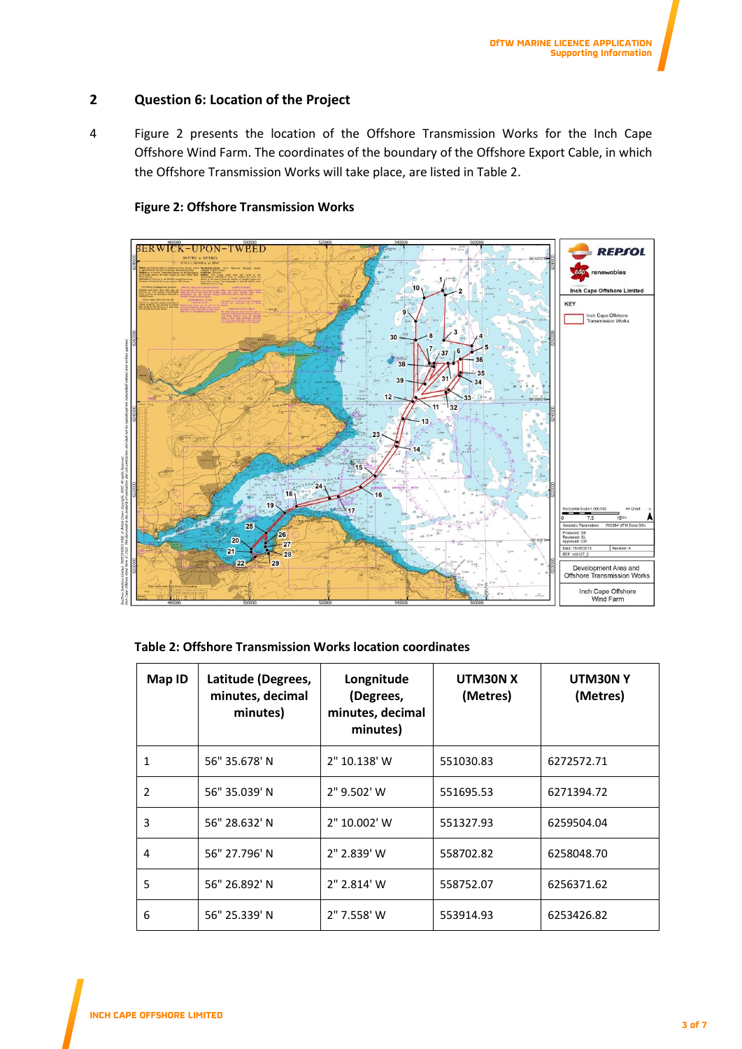## <span id="page-3-0"></span>**2 Question 6: Location of the Project**

4 Figure 2 presents the location of the Offshore Transmission Works for the Inch Cape Offshore Wind Farm. The coordinates of the boundary of the Offshore Export Cable, in which the Offshore Transmission Works will take place, are listed in Table 2.

## **Figure 2: Offshore Transmission Works**

<span id="page-3-2"></span>

### <span id="page-3-1"></span>**Table 2: Offshore Transmission Works location coordinates**

| Map ID | Latitude (Degrees,<br>minutes, decimal<br>minutes) | Longnitude<br>(Degrees,<br>minutes, decimal<br>minutes) | UTM30N X<br>(Metres) | UTM30NY<br>(Metres) |
|--------|----------------------------------------------------|---------------------------------------------------------|----------------------|---------------------|
| 1      | 56" 35.678' N                                      | 2" 10.138' W                                            | 551030.83            | 6272572.71          |
| 2      | 56" 35.039' N                                      | 2" 9.502' W                                             | 551695.53            | 6271394.72          |
| 3      | 56" 28.632' N                                      | 2" 10.002' W                                            | 551327.93            | 6259504.04          |
| 4      | 56" 27.796' N                                      | 2" 2.839' W                                             | 558702.82            | 6258048.70          |
| 5      | 56" 26.892' N                                      | 2" 2.814' W                                             | 558752.07            | 6256371.62          |
| 6      | 56" 25.339' N                                      | 2" 7.558' W                                             | 553914.93            | 6253426.82          |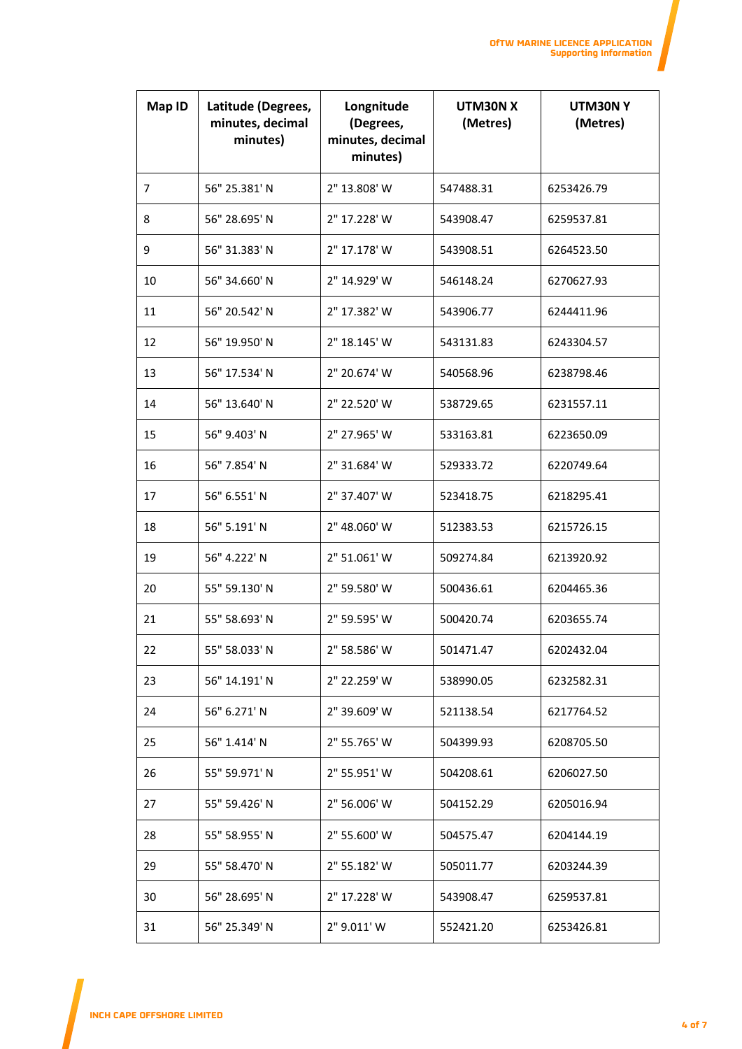| Map ID         | Latitude (Degrees,<br>minutes, decimal<br>minutes) | Longnitude<br>(Degrees,<br>minutes, decimal<br>minutes) | UTM30N X<br>(Metres) | UTM30NY<br>(Metres) |
|----------------|----------------------------------------------------|---------------------------------------------------------|----------------------|---------------------|
| $\overline{7}$ | 56" 25.381' N                                      | 2" 13.808' W                                            | 547488.31            | 6253426.79          |
| 8              | 56" 28.695' N                                      | 2" 17.228' W                                            | 543908.47            | 6259537.81          |
| 9              | 56" 31.383' N                                      | 2" 17.178' W                                            | 543908.51            | 6264523.50          |
| 10             | 56" 34.660' N                                      | 2" 14.929' W                                            | 546148.24            | 6270627.93          |
| 11             | 56" 20.542' N                                      | 2" 17.382' W                                            | 543906.77            | 6244411.96          |
| 12             | 56" 19.950' N                                      | 2" 18.145' W                                            | 543131.83            | 6243304.57          |
| 13             | 56" 17.534' N                                      | 2" 20.674' W                                            | 540568.96            | 6238798.46          |
| 14             | 56" 13.640' N                                      | 2" 22.520' W                                            | 538729.65            | 6231557.11          |
| 15             | 56" 9.403' N                                       | 2" 27.965' W                                            | 533163.81            | 6223650.09          |
| 16             | 56" 7.854' N                                       | 2" 31.684' W                                            | 529333.72            | 6220749.64          |
| 17             | 56" 6.551' N                                       | 2" 37.407' W                                            | 523418.75            | 6218295.41          |
| 18             | 56" 5.191' N                                       | 2" 48.060' W                                            | 512383.53            | 6215726.15          |
| 19             | 56" 4.222' N                                       | 2" 51.061' W                                            | 509274.84            | 6213920.92          |
| 20             | 55" 59.130' N                                      | 2" 59.580' W                                            | 500436.61            | 6204465.36          |
| 21             | 55" 58.693' N                                      | 2" 59.595' W                                            | 500420.74            | 6203655.74          |
| 22             | 55" 58.033' N                                      | 2" 58.586' W                                            | 501471.47            | 6202432.04          |
| 23             | 56" 14.191' N                                      | 2" 22.259' W                                            | 538990.05            | 6232582.31          |
| 24             | 56" 6.271' N                                       | 2" 39.609' W                                            | 521138.54            | 6217764.52          |
| 25             | 56" 1.414' N                                       | 2" 55.765' W                                            | 504399.93            | 6208705.50          |
| 26             | 55" 59.971' N                                      | 2" 55.951' W                                            | 504208.61            | 6206027.50          |
| 27             | 55" 59.426' N                                      | 2" 56.006' W                                            | 504152.29            | 6205016.94          |
| 28             | 55" 58.955' N                                      | 2" 55.600' W                                            | 504575.47            | 6204144.19          |
| 29             | 55" 58.470' N                                      | 2" 55.182' W                                            | 505011.77            | 6203244.39          |
| 30             | 56" 28.695' N                                      | 2" 17.228' W                                            | 543908.47            | 6259537.81          |
| 31             | 56" 25.349' N                                      | 2" 9.011' W                                             | 552421.20            | 6253426.81          |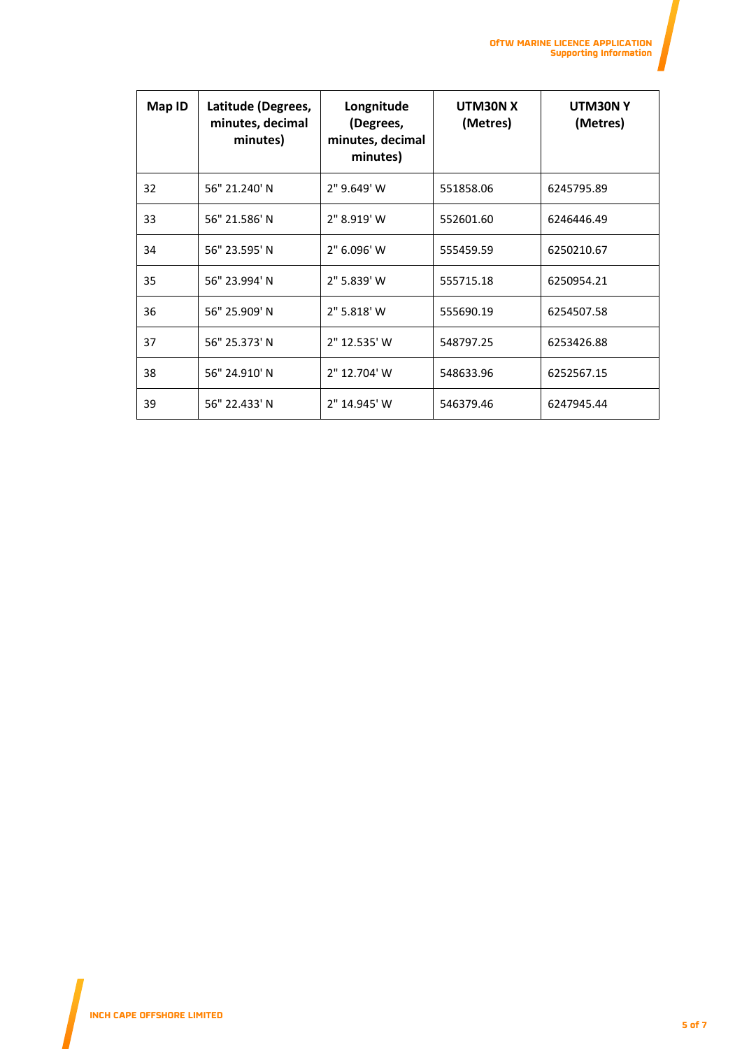| Map ID | Latitude (Degrees,<br>minutes, decimal<br>minutes) | Longnitude<br>(Degrees,<br>minutes, decimal<br>minutes) | UTM30N X<br>(Metres) | UTM30NY<br>(Metres) |
|--------|----------------------------------------------------|---------------------------------------------------------|----------------------|---------------------|
| 32     | 56" 21.240' N                                      | 2" 9.649' W                                             | 551858.06            | 6245795.89          |
| 33     | 56" 21.586' N                                      | 2" 8.919' W                                             | 552601.60            | 6246446.49          |
| 34     | 56" 23.595' N                                      | 2" 6.096' W                                             | 555459.59            | 6250210.67          |
| 35     | 56" 23.994' N                                      | 2" 5.839' W                                             | 555715.18            | 6250954.21          |
| 36     | 56" 25.909' N                                      | 2" 5.818' W                                             | 555690.19            | 6254507.58          |
| 37     | 56" 25.373' N                                      | 2" 12.535' W                                            | 548797.25            | 6253426.88          |
| 38     | 56" 24.910' N                                      | 2" 12.704' W                                            | 548633.96            | 6252567.15          |
| 39     | 56" 22.433' N                                      | 2" 14.945' W                                            | 546379.46            | 6247945.44          |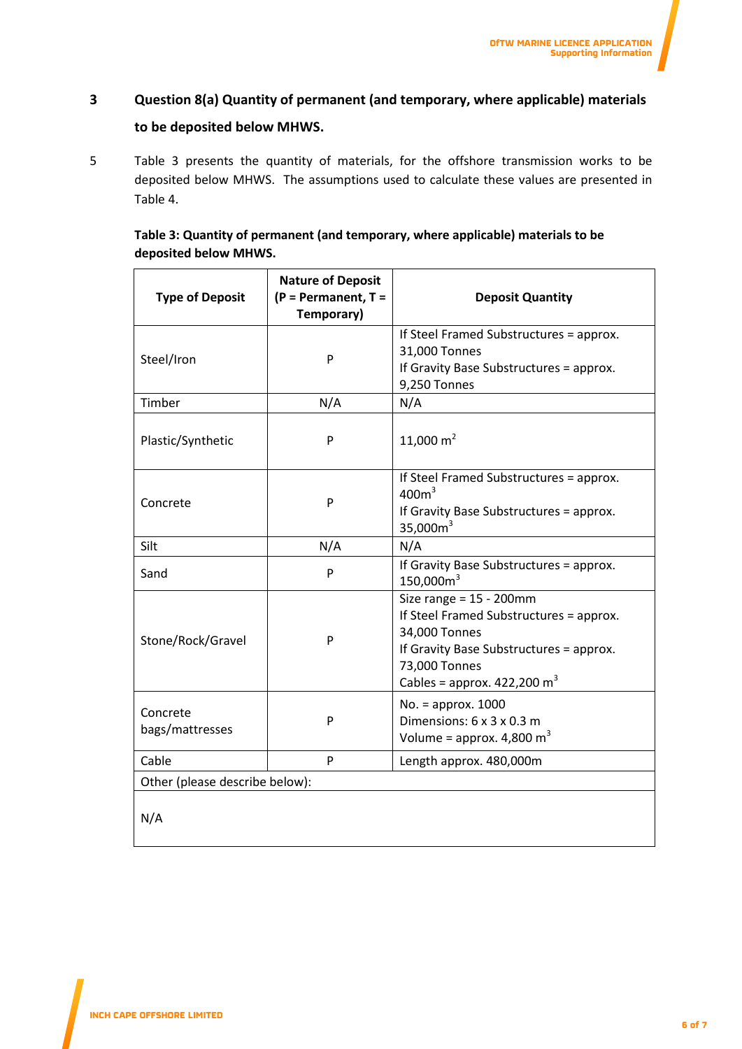# <span id="page-6-0"></span>**3 Question 8(a) Quantity of permanent (and temporary, where applicable) materials to be deposited below MHWS.**

5 Table 3 presents the quantity of materials, for the offshore transmission works to be deposited below MHWS. The assumptions used to calculate these values are presented in Table 4.

<span id="page-6-1"></span>

| Table 3: Quantity of permanent (and temporary, where applicable) materials to be |  |
|----------------------------------------------------------------------------------|--|
| deposited below MHWS.                                                            |  |

<span id="page-6-2"></span>

| <b>Type of Deposit</b>         | <b>Nature of Deposit</b><br>(P = Permanent, T =<br>Temporary) | <b>Deposit Quantity</b>                                                                                                                                                                      |  |
|--------------------------------|---------------------------------------------------------------|----------------------------------------------------------------------------------------------------------------------------------------------------------------------------------------------|--|
| Steel/Iron                     | P                                                             | If Steel Framed Substructures = approx.<br>31,000 Tonnes<br>If Gravity Base Substructures = approx.<br>9,250 Tonnes                                                                          |  |
| Timber                         | N/A                                                           | N/A                                                                                                                                                                                          |  |
| Plastic/Synthetic              | P                                                             | 11,000 $m2$                                                                                                                                                                                  |  |
| Concrete                       | P                                                             | If Steel Framed Substructures = approx.<br>400m <sup>3</sup><br>If Gravity Base Substructures = approx.<br>35,000 $m3$                                                                       |  |
| Silt                           | N/A                                                           | N/A                                                                                                                                                                                          |  |
| Sand                           | P                                                             | If Gravity Base Substructures = approx.<br>150,000m <sup>3</sup>                                                                                                                             |  |
| Stone/Rock/Gravel              | P                                                             | Size range = $15 - 200$ mm<br>If Steel Framed Substructures = approx.<br>34,000 Tonnes<br>If Gravity Base Substructures = approx.<br>73,000 Tonnes<br>Cables = approx. $422,200 \text{ m}^3$ |  |
| Concrete<br>bags/mattresses    | P                                                             | No. = approx. 1000<br>Dimensions: 6 x 3 x 0.3 m<br>Volume = approx. $4,800 \text{ m}^3$                                                                                                      |  |
| Cable                          | P                                                             | Length approx. 480,000m                                                                                                                                                                      |  |
| Other (please describe below): |                                                               |                                                                                                                                                                                              |  |
| N/A                            |                                                               |                                                                                                                                                                                              |  |